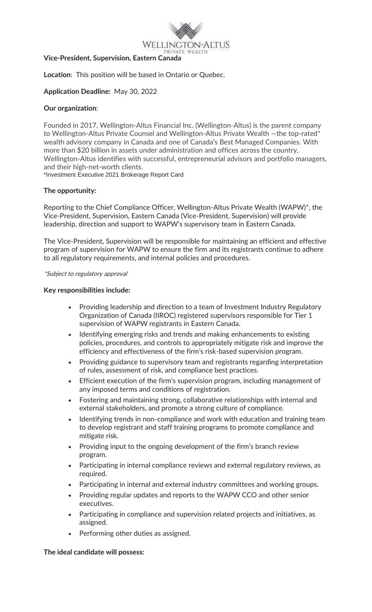

### **Vice-President, Supervision, Eastern Canada**

## **Location**: This position will be based in Ontario or Quebec.

## **Application Deadline:** May 30, 2022

## **Our organization**:

Founded in 2017, Wellington-Altus Financial Inc. (Wellington-Altus) is the parent company to Wellington-Altus Private Counsel and Wellington-Altus Private Wealth - the top-rated\* wealth advisory company in Canada and one of Canada's Best Managed Companies. With more than \$20 billion in assets under administration and offices across the country, Wellington-Altus identifies with successful, entrepreneurial advisors and portfolio managers, and their high-net-worth clients.

\*Investment Executive 2021 Brokerage Report Card

## **The opportunity:**

Reporting to the Chief Compliance Officer, Wellington-Altus Private Wealth (WAPW)\*, the Vice-President, Supervision, Eastern Canada (Vice-President, Supervision) will provide leadership, direction and support to WAPW's supervisory team in Eastern Canada.

The Vice-President, Supervision will be responsible for maintaining an efficient and effective program of supervision for WAPW to ensure the firm and its registrants continue to adhere to all regulatory requirements, and internal policies and procedures.

\*Subject to regulatory approval

### **Key responsibilities include:**

- Providing leadership and direction to a team of Investment Industry Regulatory Organization of Canada (IIROC) registered supervisors responsible for Tier 1 supervision of WAPW registrants in Eastern Canada.
- Identifying emerging risks and trends and making enhancements to existing policies, procedures, and controls to appropriately mitigate risk and improve the efficiency and effectiveness of the firm's risk-based supervision program.
- Providing guidance to supervisory team and registrants regarding interpretation of rules, assessment of risk, and compliance best practices.
- Efficient execution of the firm's supervision program, including management of any imposed terms and conditions of registration.
- Fostering and maintaining strong, collaborative relationships with internal and external stakeholders, and promote a strong culture of compliance.
- Identifying trends in non-compliance and work with education and training team to develop registrant and staff training programs to promote compliance and mitigate risk.
- Providing input to the ongoing development of the firm's branch review program.
- Participating in internal compliance reviews and external regulatory reviews, as required.
- Participating in internal and external industry committees and working groups.
- Providing regular updates and reports to the WAPW CCO and other senior executives.
- Participating in compliance and supervision related projects and initiatives, as assigned.
- Performing other duties as assigned.

### **The ideal candidate will possess:**